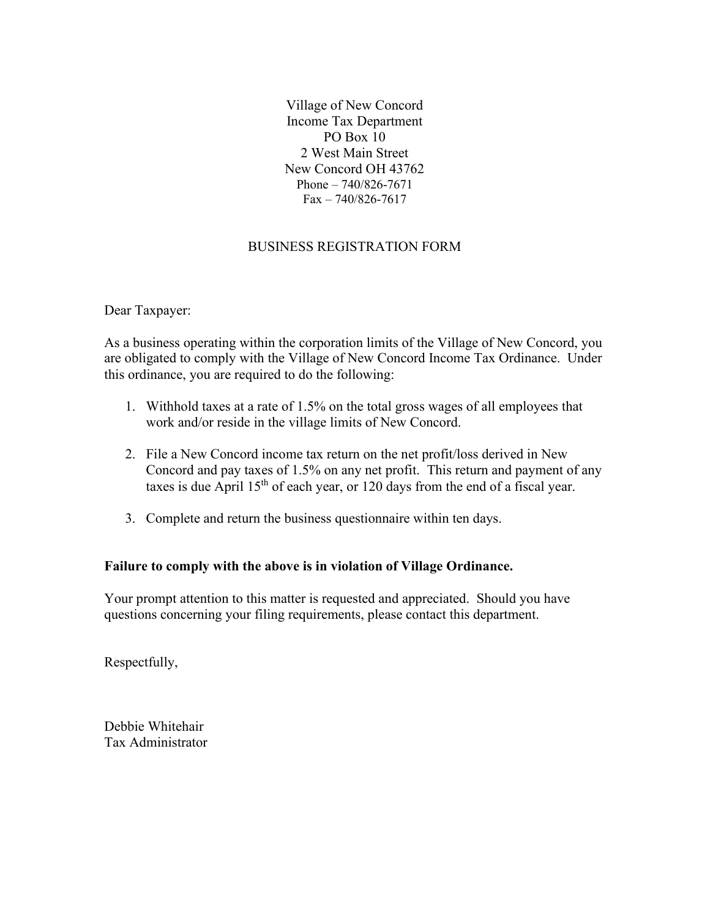Village of New Concord Income Tax Department PO Box 10 2 West Main Street New Concord OH 43762 Phone – 740/826-7671  $Fax - 740/826 - 7617$ 

# BUSINESS REGISTRATION FORM

Dear Taxpayer:

As a business operating within the corporation limits of the Village of New Concord, you are obligated to comply with the Village of New Concord Income Tax Ordinance. Under this ordinance, you are required to do the following:

- 1. Withhold taxes at a rate of 1.5% on the total gross wages of all employees that work and/or reside in the village limits of New Concord.
- 2. File a New Concord income tax return on the net profit/loss derived in New Concord and pay taxes of 1.5% on any net profit. This return and payment of any taxes is due April  $15<sup>th</sup>$  of each year, or 120 days from the end of a fiscal year.
- 3. Complete and return the business questionnaire within ten days.

## **Failure to comply with the above is in violation of Village Ordinance.**

Your prompt attention to this matter is requested and appreciated. Should you have questions concerning your filing requirements, please contact this department.

Respectfully,

Debbie Whitehair Tax Administrator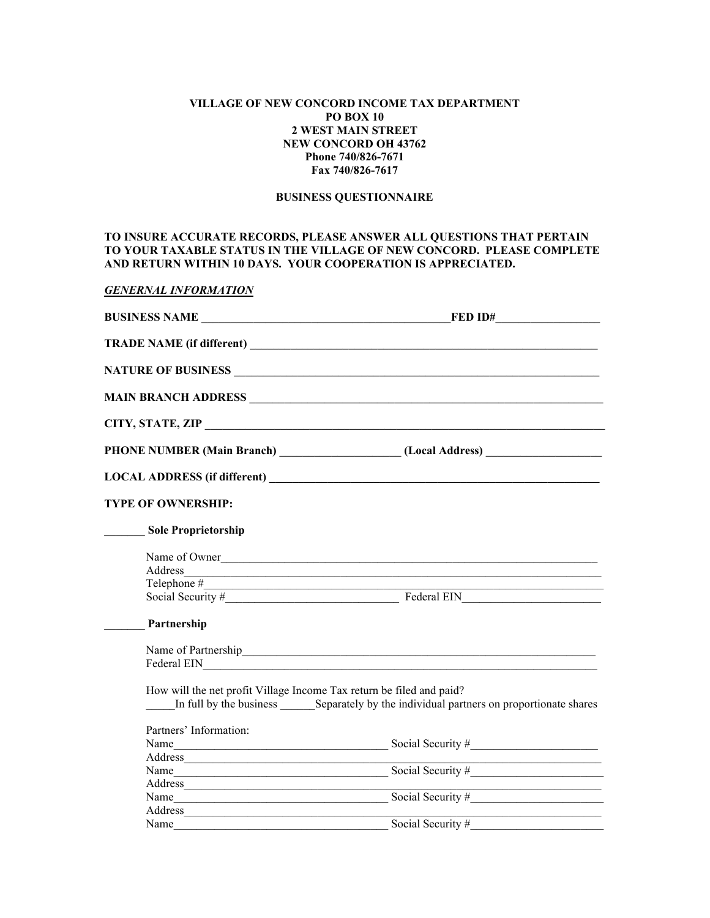## **VILLAGE OF NEW CONCORD INCOME TAX DEPARTMENT PO BOX 10 2 WEST MAIN STREET NEW CONCORD OH 43762 Phone 740/826-7671 Fax 740/826-7617**

#### **BUSINESS QUESTIONNAIRE**

## **TO INSURE ACCURATE RECORDS, PLEASE ANSWER ALL QUESTIONS THAT PERTAIN TO YOUR TAXABLE STATUS IN THE VILLAGE OF NEW CONCORD. PLEASE COMPLETE AND RETURN WITHIN 10 DAYS. YOUR COOPERATION IS APPRECIATED.**

## *GENERNAL INFORMATION*

|                                                                      | <b>BUSINESS NAME</b>                                                                                                                                                                                                                 |  |  |
|----------------------------------------------------------------------|--------------------------------------------------------------------------------------------------------------------------------------------------------------------------------------------------------------------------------------|--|--|
|                                                                      |                                                                                                                                                                                                                                      |  |  |
|                                                                      |                                                                                                                                                                                                                                      |  |  |
|                                                                      | <b>MAIN BRANCH ADDRESS</b>                                                                                                                                                                                                           |  |  |
|                                                                      |                                                                                                                                                                                                                                      |  |  |
|                                                                      | PHONE NUMBER (Main Branch) _________________(Local Address) ____________________                                                                                                                                                     |  |  |
|                                                                      |                                                                                                                                                                                                                                      |  |  |
| <b>TYPE OF OWNERSHIP:</b>                                            |                                                                                                                                                                                                                                      |  |  |
| <b>Sole Proprietorship</b>                                           |                                                                                                                                                                                                                                      |  |  |
|                                                                      | Name of Owner                                                                                                                                                                                                                        |  |  |
|                                                                      |                                                                                                                                                                                                                                      |  |  |
| $\text{Telephone} \#$                                                |                                                                                                                                                                                                                                      |  |  |
|                                                                      | Social Security # Federal EIN                                                                                                                                                                                                        |  |  |
| Partnership                                                          |                                                                                                                                                                                                                                      |  |  |
|                                                                      | Name of Partnership                                                                                                                                                                                                                  |  |  |
|                                                                      | Federal EIN <b>Example 2018 CONSUMING THE EXAMPLE 2019 PROPERTY</b>                                                                                                                                                                  |  |  |
| How will the net profit Village Income Tax return be filed and paid? | In full by the business Separately by the individual partners on proportionate shares                                                                                                                                                |  |  |
| Partners' Information:                                               |                                                                                                                                                                                                                                      |  |  |
|                                                                      |                                                                                                                                                                                                                                      |  |  |
| Address                                                              |                                                                                                                                                                                                                                      |  |  |
|                                                                      | Name $\frac{1}{\sqrt{1-\frac{1}{2}}\sqrt{1-\frac{1}{2}}\sqrt{1-\frac{1}{2}}\sqrt{1-\frac{1}{2}}}}$ Social Security #                                                                                                                 |  |  |
|                                                                      |                                                                                                                                                                                                                                      |  |  |
| Name                                                                 | Social Security #                                                                                                                                                                                                                    |  |  |
| Address                                                              | <u> 1989 - Johann John Stone, markin fan it fjort fan it fjort fan it fjort fan it fjort fan it fjort fan it fjort fan it fjort fan it fjort fan it fjort fan it fjort fan it fjort fan it fjort fan it fjort fan it fjort fan i</u> |  |  |
| Name                                                                 | Social Security #                                                                                                                                                                                                                    |  |  |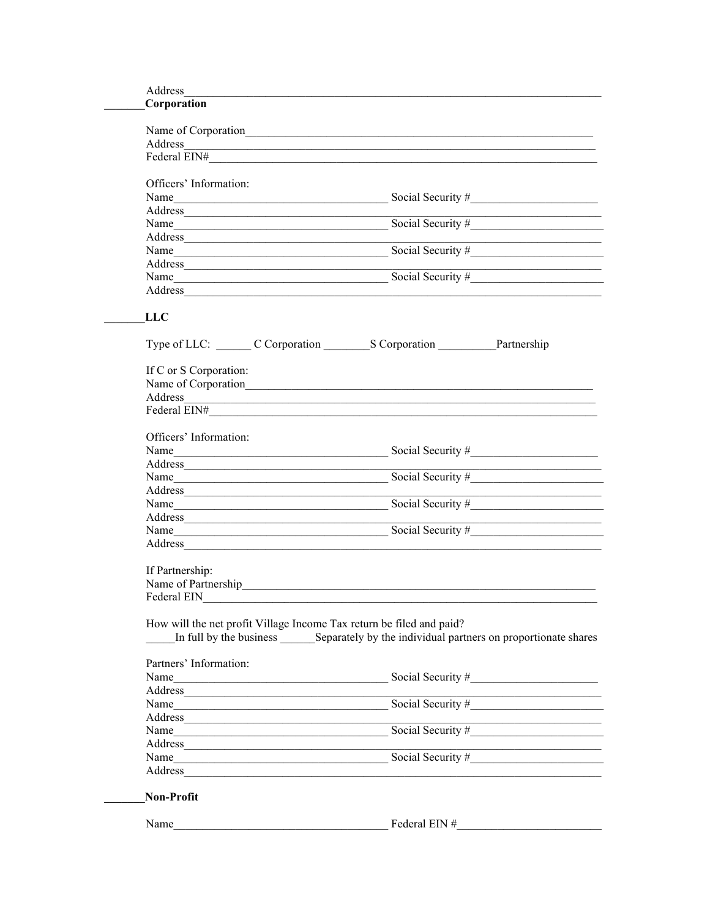| Corporation                                                                                                                                                                                                                    |                                                                                                                                                                                                                                |  |
|--------------------------------------------------------------------------------------------------------------------------------------------------------------------------------------------------------------------------------|--------------------------------------------------------------------------------------------------------------------------------------------------------------------------------------------------------------------------------|--|
|                                                                                                                                                                                                                                |                                                                                                                                                                                                                                |  |
|                                                                                                                                                                                                                                |                                                                                                                                                                                                                                |  |
|                                                                                                                                                                                                                                |                                                                                                                                                                                                                                |  |
| Officers' Information:                                                                                                                                                                                                         |                                                                                                                                                                                                                                |  |
| Name                                                                                                                                                                                                                           |                                                                                                                                                                                                                                |  |
|                                                                                                                                                                                                                                |                                                                                                                                                                                                                                |  |
| Name                                                                                                                                                                                                                           |                                                                                                                                                                                                                                |  |
|                                                                                                                                                                                                                                |                                                                                                                                                                                                                                |  |
| Name and the state of the state of the state of the state of the state of the state of the state of the state of the state of the state of the state of the state of the state of the state of the state of the state of the s | Social Security #                                                                                                                                                                                                              |  |
|                                                                                                                                                                                                                                |                                                                                                                                                                                                                                |  |
|                                                                                                                                                                                                                                | Name Social Security # Social Security # Social Security # Social Security # Social Security # Social Security # Social Security # Social Security # Social Security # Social Security # Social Security # Social Security # S |  |
|                                                                                                                                                                                                                                |                                                                                                                                                                                                                                |  |
| <b>LLC</b>                                                                                                                                                                                                                     |                                                                                                                                                                                                                                |  |
|                                                                                                                                                                                                                                |                                                                                                                                                                                                                                |  |
| If C or S Corporation:                                                                                                                                                                                                         |                                                                                                                                                                                                                                |  |
|                                                                                                                                                                                                                                |                                                                                                                                                                                                                                |  |
|                                                                                                                                                                                                                                | Name of Corporation                                                                                                                                                                                                            |  |
| Federal EIN# The Contract of the Contract of the Contract of the Contract of the Contract of the Contract of the Contract of the Contract of the Contract of the Contract of the Contract of the Contract of the Contract of t |                                                                                                                                                                                                                                |  |
|                                                                                                                                                                                                                                |                                                                                                                                                                                                                                |  |
| Officers' Information:                                                                                                                                                                                                         |                                                                                                                                                                                                                                |  |
| Name                                                                                                                                                                                                                           | Social Security #                                                                                                                                                                                                              |  |
| Address                                                                                                                                                                                                                        |                                                                                                                                                                                                                                |  |
| Name                                                                                                                                                                                                                           | Social Security #                                                                                                                                                                                                              |  |
|                                                                                                                                                                                                                                |                                                                                                                                                                                                                                |  |
| Name                                                                                                                                                                                                                           | Social Security #                                                                                                                                                                                                              |  |
|                                                                                                                                                                                                                                |                                                                                                                                                                                                                                |  |
|                                                                                                                                                                                                                                | Name Social Security #                                                                                                                                                                                                         |  |
| Address<br>If Partnership:<br>Federal EIN                                                                                                                                                                                      |                                                                                                                                                                                                                                |  |
| How will the net profit Village Income Tax return be filed and paid?<br>Partners' Information:                                                                                                                                 | In full by the business Separately by the individual partners on proportionate shares                                                                                                                                          |  |
|                                                                                                                                                                                                                                | Social Security $#$                                                                                                                                                                                                            |  |
| Name<br>Address                                                                                                                                                                                                                |                                                                                                                                                                                                                                |  |
| Name                                                                                                                                                                                                                           | Social Security #                                                                                                                                                                                                              |  |
|                                                                                                                                                                                                                                |                                                                                                                                                                                                                                |  |
|                                                                                                                                                                                                                                | Address<br>Name Social Security #                                                                                                                                                                                              |  |
|                                                                                                                                                                                                                                |                                                                                                                                                                                                                                |  |
| Address                                                                                                                                                                                                                        | Name Social Security $\#$                                                                                                                                                                                                      |  |
| Address                                                                                                                                                                                                                        |                                                                                                                                                                                                                                |  |
|                                                                                                                                                                                                                                |                                                                                                                                                                                                                                |  |
| Non-Profit                                                                                                                                                                                                                     |                                                                                                                                                                                                                                |  |
| Name                                                                                                                                                                                                                           | Federal EIN $#$                                                                                                                                                                                                                |  |